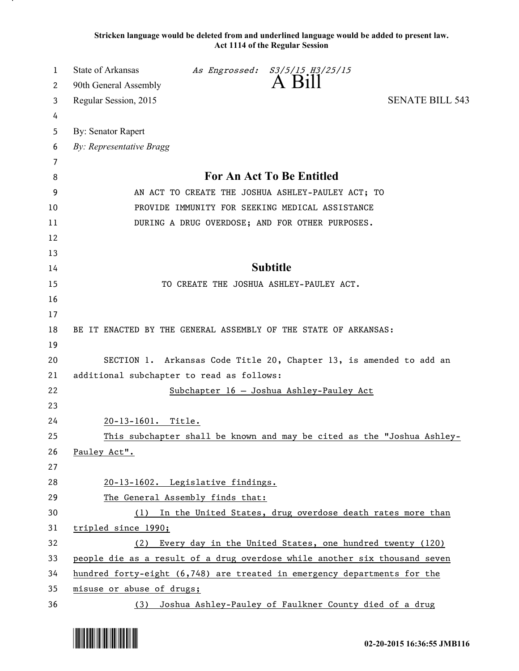**Stricken language would be deleted from and underlined language would be added to present law. Act 1114 of the Regular Session**

| 1      | State of Arkansas                                                          |                                                                          | As Engrossed: S3/5/15 H3/25/15<br>A Bill                   |                                                                        |  |  |
|--------|----------------------------------------------------------------------------|--------------------------------------------------------------------------|------------------------------------------------------------|------------------------------------------------------------------------|--|--|
| 2      | 90th General Assembly                                                      |                                                                          |                                                            | <b>SENATE BILL 543</b>                                                 |  |  |
| 3      | Regular Session, 2015                                                      |                                                                          |                                                            |                                                                        |  |  |
| 4<br>5 | By: Senator Rapert                                                         |                                                                          |                                                            |                                                                        |  |  |
| 6      | By: Representative Bragg                                                   |                                                                          |                                                            |                                                                        |  |  |
| 7      |                                                                            |                                                                          |                                                            |                                                                        |  |  |
| 8      | For An Act To Be Entitled                                                  |                                                                          |                                                            |                                                                        |  |  |
| 9      | AN ACT TO CREATE THE JOSHUA ASHLEY-PAULEY ACT; TO                          |                                                                          |                                                            |                                                                        |  |  |
| 10     | PROVIDE IMMUNITY FOR SEEKING MEDICAL ASSISTANCE                            |                                                                          |                                                            |                                                                        |  |  |
| 11     | DURING A DRUG OVERDOSE; AND FOR OTHER PURPOSES.                            |                                                                          |                                                            |                                                                        |  |  |
| 12     |                                                                            |                                                                          |                                                            |                                                                        |  |  |
| 13     |                                                                            |                                                                          |                                                            |                                                                        |  |  |
| 14     | <b>Subtitle</b>                                                            |                                                                          |                                                            |                                                                        |  |  |
| 15     |                                                                            |                                                                          | TO CREATE THE JOSHUA ASHLEY-PAULEY ACT.                    |                                                                        |  |  |
| 16     |                                                                            |                                                                          |                                                            |                                                                        |  |  |
| 17     |                                                                            |                                                                          |                                                            |                                                                        |  |  |
| 18     |                                                                            | BE IT ENACTED BY THE GENERAL ASSEMBLY OF THE STATE OF ARKANSAS:          |                                                            |                                                                        |  |  |
| 19     |                                                                            |                                                                          |                                                            |                                                                        |  |  |
| 20     | SECTION 1. Arkansas Code Title 20, Chapter 13, is amended to add an        |                                                                          |                                                            |                                                                        |  |  |
| 21     | additional subchapter to read as follows:                                  |                                                                          |                                                            |                                                                        |  |  |
| 22     |                                                                            |                                                                          | Subchapter 16 - Joshua Ashley-Pauley Act                   |                                                                        |  |  |
| 23     |                                                                            |                                                                          |                                                            |                                                                        |  |  |
| 24     | 20-13-1601. Title.                                                         |                                                                          |                                                            |                                                                        |  |  |
| 25     |                                                                            |                                                                          |                                                            | This subchapter shall be known and may be cited as the "Joshua Ashley- |  |  |
| 26     | Pauley Act".                                                               |                                                                          |                                                            |                                                                        |  |  |
| 27     |                                                                            |                                                                          |                                                            |                                                                        |  |  |
| 28     | 20-13-1602. Legislative findings.                                          |                                                                          |                                                            |                                                                        |  |  |
| 29     | The General Assembly finds that:                                           |                                                                          |                                                            |                                                                        |  |  |
| 30     | In the United States, drug overdose death rates more than<br>(1)           |                                                                          |                                                            |                                                                        |  |  |
| 31     | tripled since 1990;                                                        |                                                                          |                                                            |                                                                        |  |  |
| 32     | Every day in the United States, one hundred twenty (120)<br>(2)            |                                                                          |                                                            |                                                                        |  |  |
| 33     | people die as a result of a drug overdose while another six thousand seven |                                                                          |                                                            |                                                                        |  |  |
| 34     |                                                                            | hundred forty-eight (6,748) are treated in emergency departments for the |                                                            |                                                                        |  |  |
| 35     | misuse or abuse of drugs;                                                  |                                                                          |                                                            |                                                                        |  |  |
| 36     |                                                                            |                                                                          | (3) Joshua Ashley-Pauley of Faulkner County died of a drug |                                                                        |  |  |

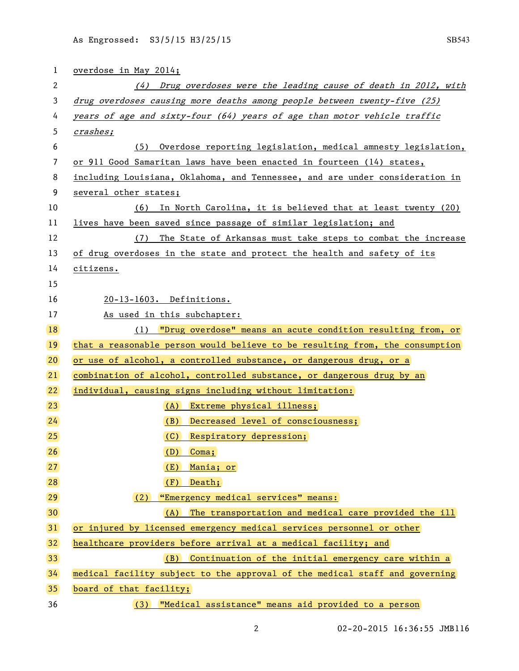| 1               | overdose in May 2014;                                                        |  |  |  |
|-----------------|------------------------------------------------------------------------------|--|--|--|
| 2               | (4) Drug overdoses were the leading cause of death in 2012, with             |  |  |  |
| 3               | drug overdoses causing more deaths among people between twenty-five (25)     |  |  |  |
| 4               | years of age and sixty-four (64) years of age than motor vehicle traffic     |  |  |  |
| 5               | crashes;                                                                     |  |  |  |
| 6               | (5) Overdose reporting legislation, medical amnesty legislation,             |  |  |  |
| 7               | or 911 Good Samaritan laws have been enacted in fourteen (14) states,        |  |  |  |
| 8               | including Louisiana, Oklahoma, and Tennessee, and are under consideration in |  |  |  |
| 9               | several other states;                                                        |  |  |  |
| 10              | (6) In North Carolina, it is believed that at least twenty (20)              |  |  |  |
| 11              | lives have been saved since passage of similar legislation; and              |  |  |  |
| 12              | (7) The State of Arkansas must take steps to combat the increase             |  |  |  |
| 13              | of drug overdoses in the state and protect the health and safety of its      |  |  |  |
| 14              | citizens.                                                                    |  |  |  |
| 15              |                                                                              |  |  |  |
| 16              | 20-13-1603. Definitions.                                                     |  |  |  |
| 17              | As used in this subchapter:                                                  |  |  |  |
| <b>18</b>       | (1) "Drug overdose" means an acute condition resulting from, or              |  |  |  |
| <b>19</b>       | that a reasonable person would believe to be resulting from, the consumption |  |  |  |
| 20              | or use of alcohol, a controlled substance, or dangerous drug, or a           |  |  |  |
| 21              | combination of alcohol, controlled substance, or dangerous drug by an        |  |  |  |
| 22              | individual, causing signs including without limitation:                      |  |  |  |
| 23              | (A) Extreme physical illness;                                                |  |  |  |
| 24              | (B) Decreased level of consciousness;                                        |  |  |  |
| 25              | (C) Respiratory depression;                                                  |  |  |  |
| 26              | (D)<br>Coma;                                                                 |  |  |  |
| 27              | Mania; or<br>(E)                                                             |  |  |  |
| 28              | (F)<br>Death;                                                                |  |  |  |
| 29              | "Emergency medical services" means:<br>(2)                                   |  |  |  |
| 30 <sub>2</sub> | (A) The transportation and medical care provided the ill                     |  |  |  |
| 31              | or injured by licensed emergency medical services personnel or other         |  |  |  |
| 32              | healthcare providers before arrival at a medical facility; and               |  |  |  |
| 33              | (B) Continuation of the initial emergency care within a                      |  |  |  |
| 34              | medical facility subject to the approval of the medical staff and governing  |  |  |  |
| 35              | board of that facility;                                                      |  |  |  |
| 36              | (3) <b>Wedical assistance"</b> means aid provided to a person                |  |  |  |

2 02-20-2015 16:36:55 JMB116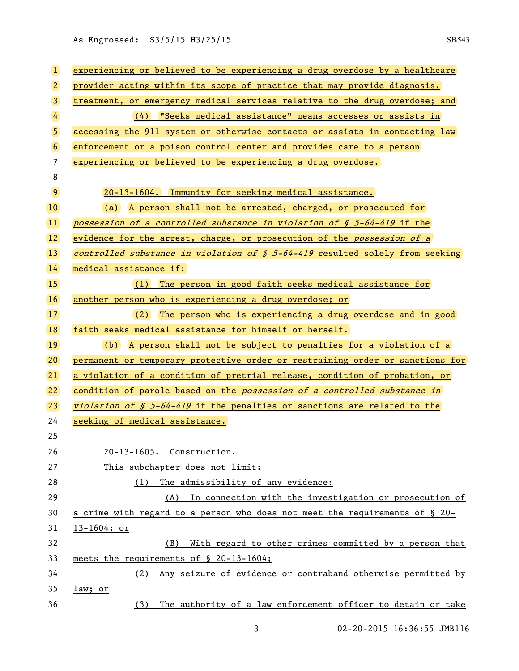As Engrossed: S3/5/15 H3/25/15 SB543

| $\vert$         | experiencing or believed to be experiencing a drug overdose by a healthcare              |  |  |  |
|-----------------|------------------------------------------------------------------------------------------|--|--|--|
| $\overline{2}$  | provider acting within its scope of practice that may provide diagnosis,                 |  |  |  |
| $\mathbf{3}$    | treatment, or emergency medical services relative to the drug overdose; and              |  |  |  |
| $\overline{4}$  | (4) "Seeks medical assistance" means accesses or assists in                              |  |  |  |
| $\overline{5}$  | accessing the 911 system or otherwise contacts or assists in contacting law              |  |  |  |
| $6\overline{6}$ | enforcement or a poison control center and provides care to a person                     |  |  |  |
| $\overline{7}$  | experiencing or believed to be experiencing a drug overdose.                             |  |  |  |
| 8               |                                                                                          |  |  |  |
| $\overline{9}$  | 20-13-1604. Immunity for seeking medical assistance.                                     |  |  |  |
| 10 <sup>°</sup> | (a) A person shall not be arrested, charged, or prosecuted for                           |  |  |  |
| $ 11\rangle$    | possession of a controlled substance in violation of $\int$ 5-64-419 if the              |  |  |  |
| $ 12\rangle$    | evidence for the arrest, charge, or prosecution of the possession of a                   |  |  |  |
| 13)             | controlled substance in violation of $\frac{1}{2}$ 5-64-419 resulted solely from seeking |  |  |  |
| 14              | medical assistance if:                                                                   |  |  |  |
| 15              | (1) The person in good faith seeks medical assistance for                                |  |  |  |
| <b>16</b>       | another person who is experiencing a drug overdose; or                                   |  |  |  |
| 17 <sup>2</sup> | (2) The person who is experiencing a drug overdose and in good                           |  |  |  |
| 18              | faith seeks medical assistance for himself or herself.                                   |  |  |  |
| 19              | (b) A person shall not be subject to penalties for a violation of a                      |  |  |  |
| 20)             | permanent or temporary protective order or restraining order or sanctions for            |  |  |  |
| 21              | a violation of a condition of pretrial release, condition of probation, or               |  |  |  |
| 22              | condition of parole based on the possession of a controlled substance in                 |  |  |  |
| 23              | <i>violation of § 5-64-419</i> if the penalties or sanctions are related to the          |  |  |  |
| 24              | seeking of medical assistance.                                                           |  |  |  |
| 25              |                                                                                          |  |  |  |
| 26              | 20-13-1605. Construction.                                                                |  |  |  |
| 27              | This subchapter does not limit:                                                          |  |  |  |
| 28              | The admissibility of any evidence:<br>(1)                                                |  |  |  |
| 29              | (A) In connection with the investigation or prosecution of                               |  |  |  |
| 30              | a crime with regard to a person who does not meet the requirements of $\S$ 20-           |  |  |  |
| 31              | $13 - 1604; or$                                                                          |  |  |  |
| 32              | With regard to other crimes committed by a person that<br>(B)                            |  |  |  |
| 33              | meets the requirements of § 20-13-1604;                                                  |  |  |  |
| 34              | Any seizure of evidence or contraband otherwise permitted by<br>(2)                      |  |  |  |
| 35              | law; or                                                                                  |  |  |  |
| 36              | The authority of a law enforcement officer to detain or take<br>(3)                      |  |  |  |

3 02-20-2015 16:36:55 JMB116